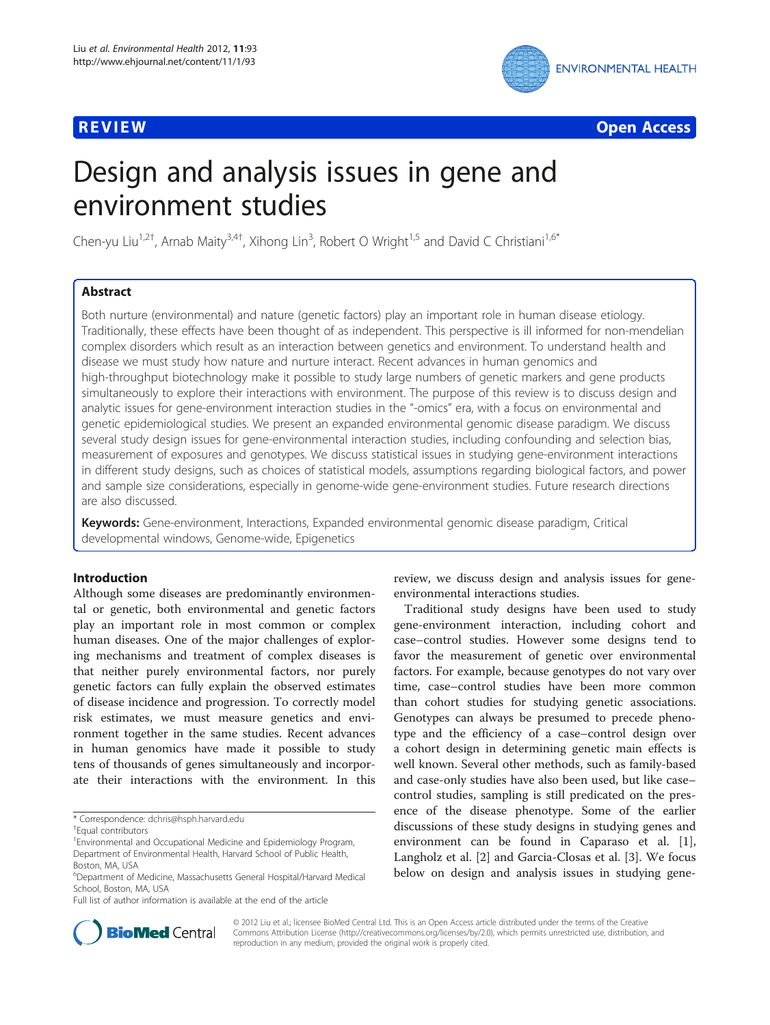

**REVIEW CONSTRUCTION CONSTRUCTION CONSTRUCTION CONSTRUCTS** 

# Design and analysis issues in gene and environment studies

Chen-yu Liu<sup>1,2†</sup>, Arnab Maity<sup>3,4†</sup>, Xihong Lin<sup>3</sup>, Robert O Wright<sup>1,5</sup> and David C Christiani<sup>1,6\*</sup>

# Abstract

Both nurture (environmental) and nature (genetic factors) play an important role in human disease etiology. Traditionally, these effects have been thought of as independent. This perspective is ill informed for non-mendelian complex disorders which result as an interaction between genetics and environment. To understand health and disease we must study how nature and nurture interact. Recent advances in human genomics and high-throughput biotechnology make it possible to study large numbers of genetic markers and gene products simultaneously to explore their interactions with environment. The purpose of this review is to discuss design and analytic issues for gene-environment interaction studies in the "-omics" era, with a focus on environmental and genetic epidemiological studies. We present an expanded environmental genomic disease paradigm. We discuss several study design issues for gene-environmental interaction studies, including confounding and selection bias, measurement of exposures and genotypes. We discuss statistical issues in studying gene-environment interactions in different study designs, such as choices of statistical models, assumptions regarding biological factors, and power and sample size considerations, especially in genome-wide gene-environment studies. Future research directions are also discussed.

Keywords: Gene-environment, Interactions, Expanded environmental genomic disease paradigm, Critical developmental windows, Genome-wide, Epigenetics

### Introduction

Although some diseases are predominantly environmental or genetic, both environmental and genetic factors play an important role in most common or complex human diseases. One of the major challenges of exploring mechanisms and treatment of complex diseases is that neither purely environmental factors, nor purely genetic factors can fully explain the observed estimates of disease incidence and progression. To correctly model risk estimates, we must measure genetics and environment together in the same studies. Recent advances in human genomics have made it possible to study tens of thousands of genes simultaneously and incorporate their interactions with the environment. In this

review, we discuss design and analysis issues for geneenvironmental interactions studies.

Traditional study designs have been used to study gene-environment interaction, including cohort and case–control studies. However some designs tend to favor the measurement of genetic over environmental factors. For example, because genotypes do not vary over time, case–control studies have been more common than cohort studies for studying genetic associations. Genotypes can always be presumed to precede phenotype and the efficiency of a case–control design over a cohort design in determining genetic main effects is well known. Several other methods, such as family-based and case-only studies have also been used, but like case– control studies, sampling is still predicated on the presence of the disease phenotype. Some of the earlier discussions of these study designs in studying genes and environment can be found in Caparaso et al. [\[1](#page-12-0)], Langholz et al. [\[2](#page-12-0)] and Garcia-Closas et al. [\[3](#page-12-0)]. We focus below on design and analysis issues in studying gene-



© 2012 Liu et al.; licensee BioMed Central Ltd. This is an Open Access article distributed under the terms of the Creative Commons Attribution License [\(http://creativecommons.org/licenses/by/2.0\)](http://creativecommons.org/licenses/by/2.0), which permits unrestricted use, distribution, and reproduction in any medium, provided the original work is properly cited.

<sup>\*</sup> Correspondence: [dchris@hsph.harvard.edu](mailto:dchris@hsph.harvard.edu) †

Equal contributors

<sup>1</sup> Environmental and Occupational Medicine and Epidemiology Program, Department of Environmental Health, Harvard School of Public Health, Boston, MA, USA

<sup>6</sup> Department of Medicine, Massachusetts General Hospital/Harvard Medical School, Boston, MA, USA

Full list of author information is available at the end of the article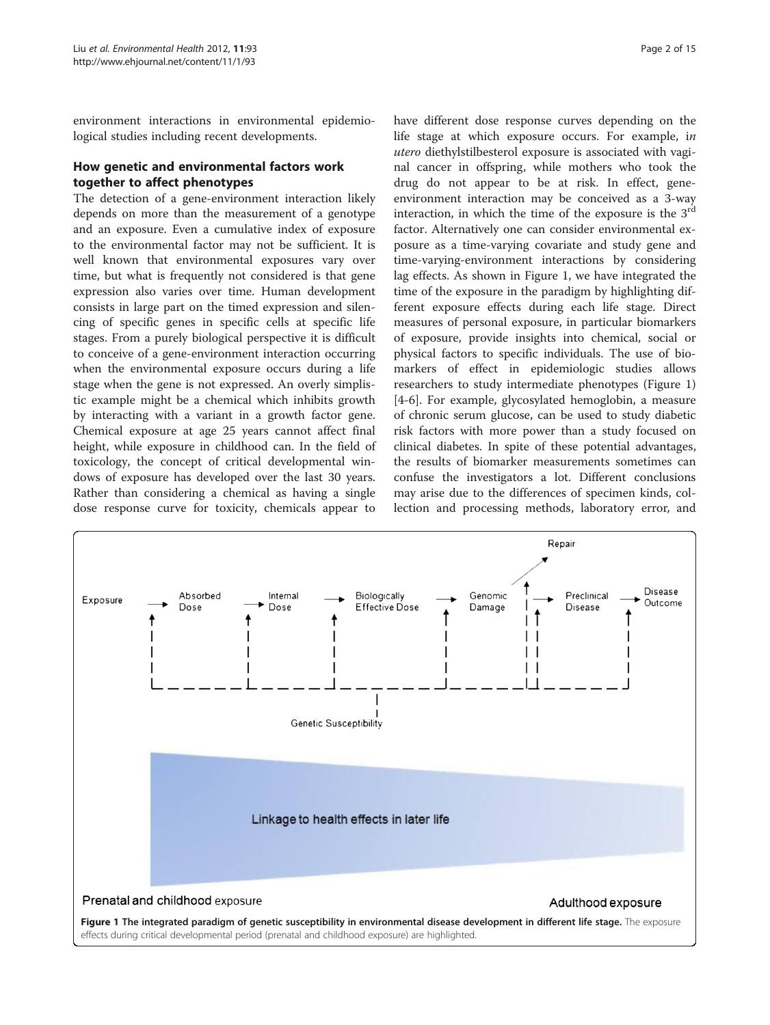environment interactions in environmental epidemiological studies including recent developments.

# How genetic and environmental factors work together to affect phenotypes

The detection of a gene-environment interaction likely depends on more than the measurement of a genotype and an exposure. Even a cumulative index of exposure to the environmental factor may not be sufficient. It is well known that environmental exposures vary over time, but what is frequently not considered is that gene expression also varies over time. Human development consists in large part on the timed expression and silencing of specific genes in specific cells at specific life stages. From a purely biological perspective it is difficult to conceive of a gene-environment interaction occurring when the environmental exposure occurs during a life stage when the gene is not expressed. An overly simplistic example might be a chemical which inhibits growth by interacting with a variant in a growth factor gene. Chemical exposure at age 25 years cannot affect final height, while exposure in childhood can. In the field of toxicology, the concept of critical developmental windows of exposure has developed over the last 30 years. Rather than considering a chemical as having a single dose response curve for toxicity, chemicals appear to

have different dose response curves depending on the life stage at which exposure occurs. For example, in utero diethylstilbesterol exposure is associated with vaginal cancer in offspring, while mothers who took the drug do not appear to be at risk. In effect, geneenvironment interaction may be conceived as a 3-way interaction, in which the time of the exposure is the  $3<sup>rd</sup>$ factor. Alternatively one can consider environmental exposure as a time-varying covariate and study gene and time-varying-environment interactions by considering lag effects. As shown in Figure 1, we have integrated the time of the exposure in the paradigm by highlighting dif-

measures of personal exposure, in particular biomarkers of exposure, provide insights into chemical, social or physical factors to specific individuals. The use of biomarkers of effect in epidemiologic studies allows researchers to study intermediate phenotypes (Figure 1) [[4-6](#page-12-0)]. For example, glycosylated hemoglobin, a measure of chronic serum glucose, can be used to study diabetic risk factors with more power than a study focused on clinical diabetes. In spite of these potential advantages, the results of biomarker measurements sometimes can confuse the investigators a lot. Different conclusions may arise due to the differences of specimen kinds, collection and processing methods, laboratory error, and

ferent exposure effects during each life stage. Direct

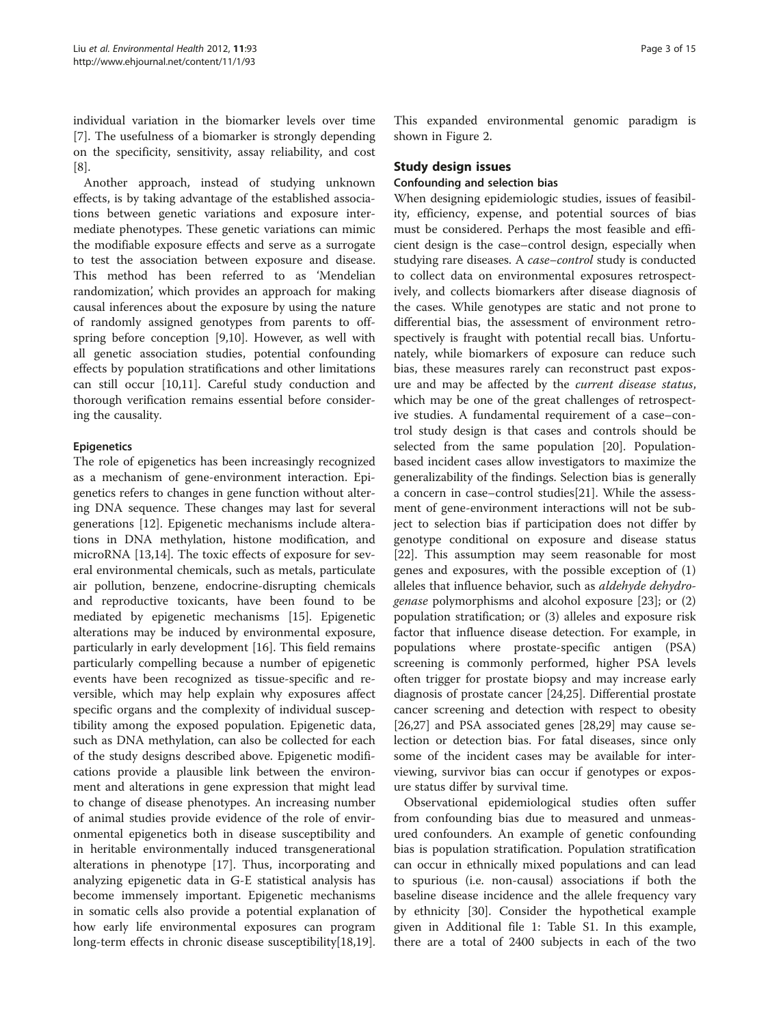individual variation in the biomarker levels over time [[7\]](#page-12-0). The usefulness of a biomarker is strongly depending on the specificity, sensitivity, assay reliability, and cost [[8\]](#page-12-0).

Another approach, instead of studying unknown effects, is by taking advantage of the established associations between genetic variations and exposure intermediate phenotypes. These genetic variations can mimic the modifiable exposure effects and serve as a surrogate to test the association between exposure and disease. This method has been referred to as 'Mendelian randomization', which provides an approach for making causal inferences about the exposure by using the nature of randomly assigned genotypes from parents to offspring before conception [[9,10\]](#page-12-0). However, as well with all genetic association studies, potential confounding effects by population stratifications and other limitations can still occur [\[10,11](#page-12-0)]. Careful study conduction and thorough verification remains essential before considering the causality.

### **Epigenetics**

The role of epigenetics has been increasingly recognized as a mechanism of gene-environment interaction. Epigenetics refers to changes in gene function without altering DNA sequence. These changes may last for several generations [[12\]](#page-12-0). Epigenetic mechanisms include alterations in DNA methylation, histone modification, and microRNA [\[13,14\]](#page-12-0). The toxic effects of exposure for several environmental chemicals, such as metals, particulate air pollution, benzene, endocrine-disrupting chemicals and reproductive toxicants, have been found to be mediated by epigenetic mechanisms [\[15](#page-12-0)]. Epigenetic alterations may be induced by environmental exposure, particularly in early development [\[16](#page-12-0)]. This field remains particularly compelling because a number of epigenetic events have been recognized as tissue-specific and reversible, which may help explain why exposures affect specific organs and the complexity of individual susceptibility among the exposed population. Epigenetic data, such as DNA methylation, can also be collected for each of the study designs described above. Epigenetic modifications provide a plausible link between the environment and alterations in gene expression that might lead to change of disease phenotypes. An increasing number of animal studies provide evidence of the role of environmental epigenetics both in disease susceptibility and in heritable environmentally induced transgenerational alterations in phenotype [\[17](#page-12-0)]. Thus, incorporating and analyzing epigenetic data in G-E statistical analysis has become immensely important. Epigenetic mechanisms in somatic cells also provide a potential explanation of how early life environmental exposures can program long-term effects in chronic disease susceptibility[\[18,19](#page-12-0)].

This expanded environmental genomic paradigm is shown in Figure [2.](#page-3-0)

# Study design issues

#### Confounding and selection bias

When designing epidemiologic studies, issues of feasibility, efficiency, expense, and potential sources of bias must be considered. Perhaps the most feasible and efficient design is the case–control design, especially when studying rare diseases. A case–control study is conducted to collect data on environmental exposures retrospectively, and collects biomarkers after disease diagnosis of the cases. While genotypes are static and not prone to differential bias, the assessment of environment retrospectively is fraught with potential recall bias. Unfortunately, while biomarkers of exposure can reduce such bias, these measures rarely can reconstruct past exposure and may be affected by the current disease status, which may be one of the great challenges of retrospective studies. A fundamental requirement of a case–control study design is that cases and controls should be selected from the same population [\[20\]](#page-12-0). Populationbased incident cases allow investigators to maximize the generalizability of the findings. Selection bias is generally a concern in case–control studies[[21\]](#page-12-0). While the assessment of gene-environment interactions will not be subject to selection bias if participation does not differ by genotype conditional on exposure and disease status [[22\]](#page-12-0). This assumption may seem reasonable for most genes and exposures, with the possible exception of (1) alleles that influence behavior, such as *aldehyde dehydro*genase polymorphisms and alcohol exposure [\[23](#page-12-0)]; or (2) population stratification; or (3) alleles and exposure risk factor that influence disease detection. For example, in populations where prostate-specific antigen (PSA) screening is commonly performed, higher PSA levels often trigger for prostate biopsy and may increase early diagnosis of prostate cancer [\[24,25\]](#page-12-0). Differential prostate cancer screening and detection with respect to obesity [[26,27\]](#page-12-0) and PSA associated genes [\[28,29](#page-12-0)] may cause selection or detection bias. For fatal diseases, since only some of the incident cases may be available for interviewing, survivor bias can occur if genotypes or exposure status differ by survival time.

Observational epidemiological studies often suffer from confounding bias due to measured and unmeasured confounders. An example of genetic confounding bias is population stratification. Population stratification can occur in ethnically mixed populations and can lead to spurious (i.e. non-causal) associations if both the baseline disease incidence and the allele frequency vary by ethnicity [\[30\]](#page-12-0). Consider the hypothetical example given in Additional file [1](#page-11-0): Table S1. In this example, there are a total of 2400 subjects in each of the two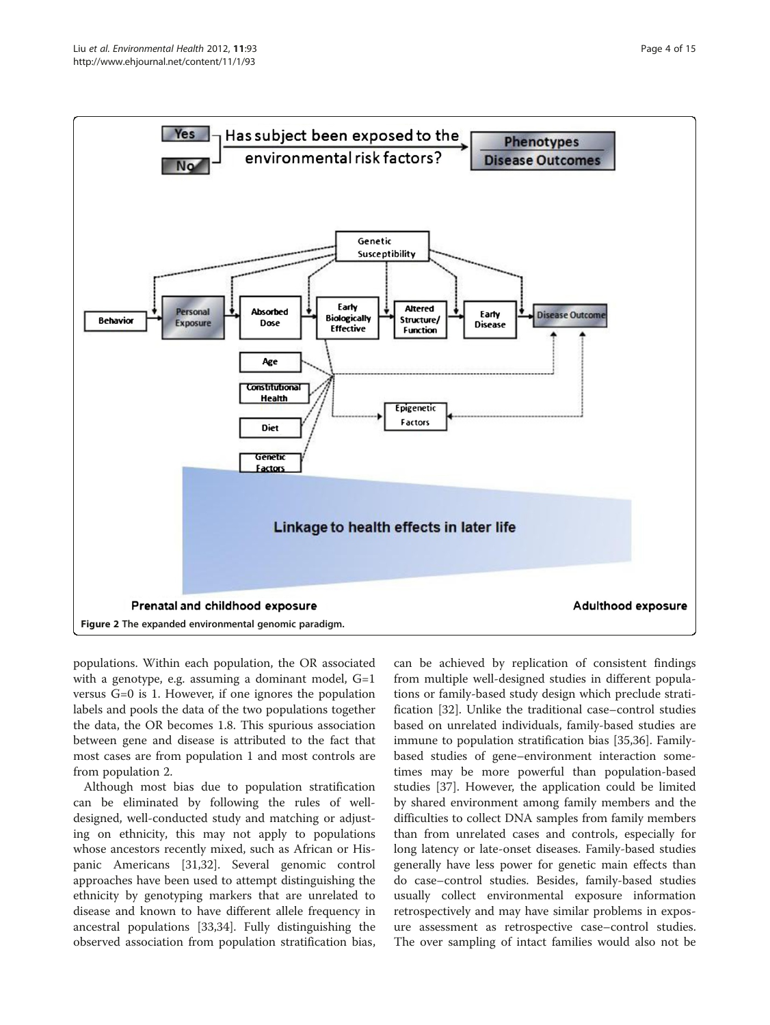<span id="page-3-0"></span>

populations. Within each population, the OR associated with a genotype, e.g. assuming a dominant model,  $G=1$ versus G=0 is 1. However, if one ignores the population labels and pools the data of the two populations together the data, the OR becomes 1.8. This spurious association between gene and disease is attributed to the fact that most cases are from population 1 and most controls are from population 2.

Although most bias due to population stratification can be eliminated by following the rules of welldesigned, well-conducted study and matching or adjusting on ethnicity, this may not apply to populations whose ancestors recently mixed, such as African or Hispanic Americans [\[31,32](#page-12-0)]. Several genomic control approaches have been used to attempt distinguishing the ethnicity by genotyping markers that are unrelated to disease and known to have different allele frequency in ancestral populations [[33,34\]](#page-12-0). Fully distinguishing the observed association from population stratification bias,

can be achieved by replication of consistent findings from multiple well-designed studies in different populations or family-based study design which preclude stratification [\[32\]](#page-12-0). Unlike the traditional case–control studies based on unrelated individuals, family-based studies are immune to population stratification bias [[35,36](#page-12-0)]. Familybased studies of gene–environment interaction sometimes may be more powerful than population-based studies [\[37](#page-12-0)]. However, the application could be limited by shared environment among family members and the difficulties to collect DNA samples from family members than from unrelated cases and controls, especially for long latency or late-onset diseases. Family-based studies generally have less power for genetic main effects than do case–control studies. Besides, family-based studies usually collect environmental exposure information retrospectively and may have similar problems in exposure assessment as retrospective case–control studies. The over sampling of intact families would also not be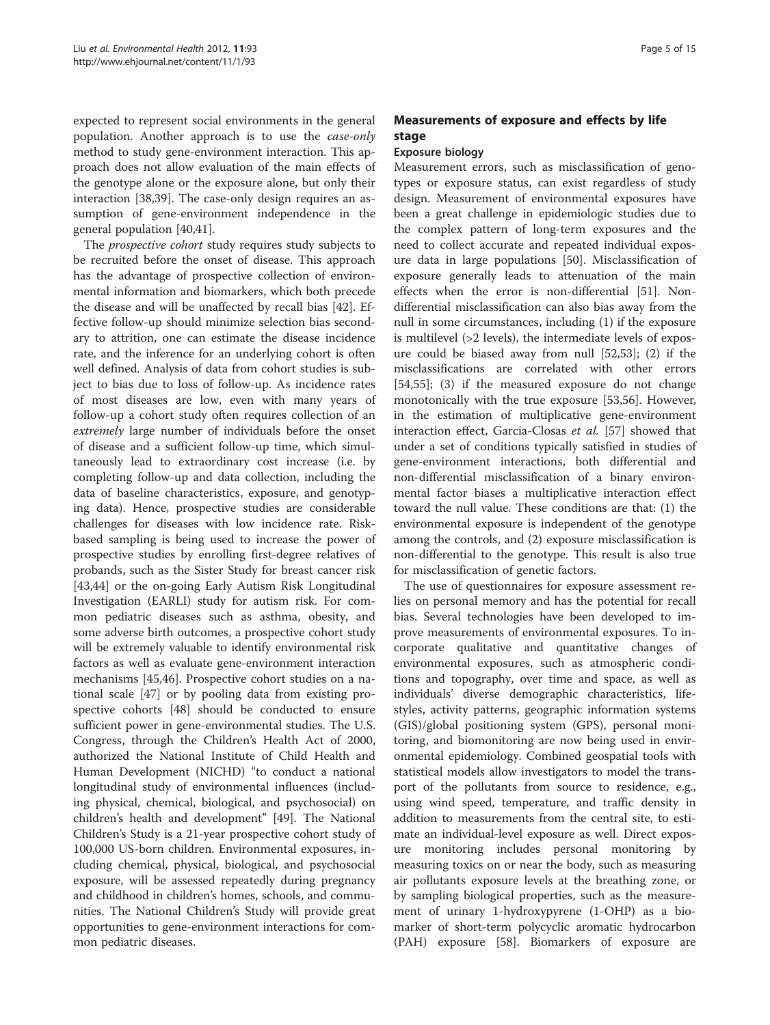expected to represent social environments in the general population. Another approach is to use the case-only method to study gene-environment interaction. This approach does not allow evaluation of the main effects of the genotype alone or the exposure alone, but only their interaction [[38](#page-12-0),[39](#page-12-0)]. The case-only design requires an assumption of gene-environment independence in the general population [\[40,41](#page-12-0)].

The *prospective cohort* study requires study subjects to be recruited before the onset of disease. This approach has the advantage of prospective collection of environmental information and biomarkers, which both precede the disease and will be unaffected by recall bias [\[42\]](#page-12-0). Effective follow-up should minimize selection bias secondary to attrition, one can estimate the disease incidence rate, and the inference for an underlying cohort is often well defined. Analysis of data from cohort studies is subject to bias due to loss of follow-up. As incidence rates of most diseases are low, even with many years of follow-up a cohort study often requires collection of an extremely large number of individuals before the onset of disease and a sufficient follow-up time, which simultaneously lead to extraordinary cost increase (i.e. by completing follow-up and data collection, including the data of baseline characteristics, exposure, and genotyping data). Hence, prospective studies are considerable challenges for diseases with low incidence rate. Riskbased sampling is being used to increase the power of prospective studies by enrolling first-degree relatives of probands, such as the Sister Study for breast cancer risk [[43,44\]](#page-12-0) or the on-going Early Autism Risk Longitudinal Investigation (EARLI) study for autism risk. For common pediatric diseases such as asthma, obesity, and some adverse birth outcomes, a prospective cohort study will be extremely valuable to identify environmental risk factors as well as evaluate gene-environment interaction mechanisms [[45](#page-12-0),[46](#page-12-0)]. Prospective cohort studies on a national scale [[47](#page-12-0)] or by pooling data from existing prospective cohorts [\[48](#page-12-0)] should be conducted to ensure sufficient power in gene-environmental studies. The U.S. Congress, through the Children's Health Act of 2000, authorized the National Institute of Child Health and Human Development (NICHD) "to conduct a national longitudinal study of environmental influences (including physical, chemical, biological, and psychosocial) on children's health and development" [\[49](#page-12-0)]. The National Children's Study is a 21-year prospective cohort study of 100,000 US-born children. Environmental exposures, including chemical, physical, biological, and psychosocial exposure, will be assessed repeatedly during pregnancy and childhood in children's homes, schools, and communities. The National Children's Study will provide great opportunities to gene-environment interactions for common pediatric diseases.

# Measurements of exposure and effects by life stage

#### Exposure biology

Measurement errors, such as misclassification of genotypes or exposure status, can exist regardless of study design. Measurement of environmental exposures have been a great challenge in epidemiologic studies due to the complex pattern of long-term exposures and the need to collect accurate and repeated individual exposure data in large populations [\[50](#page-12-0)]. Misclassification of exposure generally leads to attenuation of the main effects when the error is non-differential [[51\]](#page-12-0). Nondifferential misclassification can also bias away from the null in some circumstances, including (1) if the exposure is multilevel (>2 levels), the intermediate levels of exposure could be biased away from null [[52,53\]](#page-12-0); (2) if the misclassifications are correlated with other errors [[54,](#page-12-0)[55\]](#page-13-0); (3) if the measured exposure do not change monotonically with the true exposure [[53](#page-12-0),[56](#page-13-0)]. However, in the estimation of multiplicative gene-environment interaction effect, Garcia-Closas et al. [[57\]](#page-13-0) showed that under a set of conditions typically satisfied in studies of gene-environment interactions, both differential and non-differential misclassification of a binary environmental factor biases a multiplicative interaction effect toward the null value. These conditions are that: (1) the environmental exposure is independent of the genotype among the controls, and (2) exposure misclassification is non-differential to the genotype. This result is also true for misclassification of genetic factors.

The use of questionnaires for exposure assessment relies on personal memory and has the potential for recall bias. Several technologies have been developed to improve measurements of environmental exposures. To incorporate qualitative and quantitative changes of environmental exposures, such as atmospheric conditions and topography, over time and space, as well as individuals' diverse demographic characteristics, lifestyles, activity patterns, geographic information systems (GIS)/global positioning system (GPS), personal monitoring, and biomonitoring are now being used in environmental epidemiology. Combined geospatial tools with statistical models allow investigators to model the transport of the pollutants from source to residence, e.g., using wind speed, temperature, and traffic density in addition to measurements from the central site, to estimate an individual-level exposure as well. Direct exposure monitoring includes personal monitoring by measuring toxics on or near the body, such as measuring air pollutants exposure levels at the breathing zone, or by sampling biological properties, such as the measurement of urinary 1-hydroxypyrene (1-OHP) as a biomarker of short-term polycyclic aromatic hydrocarbon (PAH) exposure [[58\]](#page-13-0). Biomarkers of exposure are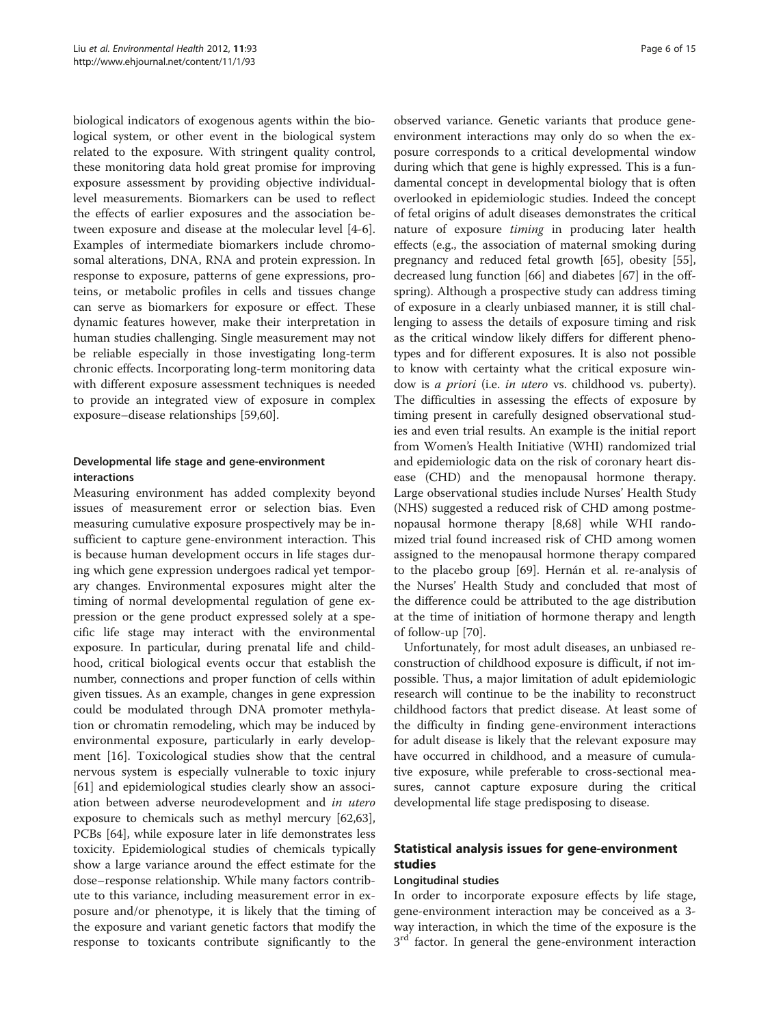biological indicators of exogenous agents within the biological system, or other event in the biological system related to the exposure. With stringent quality control, these monitoring data hold great promise for improving exposure assessment by providing objective individuallevel measurements. Biomarkers can be used to reflect the effects of earlier exposures and the association between exposure and disease at the molecular level [[4-6](#page-12-0)]. Examples of intermediate biomarkers include chromosomal alterations, DNA, RNA and protein expression. In response to exposure, patterns of gene expressions, proteins, or metabolic profiles in cells and tissues change can serve as biomarkers for exposure or effect. These dynamic features however, make their interpretation in human studies challenging. Single measurement may not be reliable especially in those investigating long-term chronic effects. Incorporating long-term monitoring data with different exposure assessment techniques is needed to provide an integrated view of exposure in complex exposure–disease relationships [[59,60\]](#page-13-0).

# Developmental life stage and gene-environment interactions

Measuring environment has added complexity beyond issues of measurement error or selection bias. Even measuring cumulative exposure prospectively may be insufficient to capture gene-environment interaction. This is because human development occurs in life stages during which gene expression undergoes radical yet temporary changes. Environmental exposures might alter the timing of normal developmental regulation of gene expression or the gene product expressed solely at a specific life stage may interact with the environmental exposure. In particular, during prenatal life and childhood, critical biological events occur that establish the number, connections and proper function of cells within given tissues. As an example, changes in gene expression could be modulated through DNA promoter methylation or chromatin remodeling, which may be induced by environmental exposure, particularly in early development [[16\]](#page-12-0). Toxicological studies show that the central nervous system is especially vulnerable to toxic injury [[61\]](#page-13-0) and epidemiological studies clearly show an association between adverse neurodevelopment and in utero exposure to chemicals such as methyl mercury [\[62,63](#page-13-0)], PCBs [\[64](#page-13-0)], while exposure later in life demonstrates less toxicity. Epidemiological studies of chemicals typically show a large variance around the effect estimate for the dose–response relationship. While many factors contribute to this variance, including measurement error in exposure and/or phenotype, it is likely that the timing of the exposure and variant genetic factors that modify the response to toxicants contribute significantly to the

observed variance. Genetic variants that produce geneenvironment interactions may only do so when the exposure corresponds to a critical developmental window during which that gene is highly expressed. This is a fundamental concept in developmental biology that is often overlooked in epidemiologic studies. Indeed the concept of fetal origins of adult diseases demonstrates the critical nature of exposure timing in producing later health effects (e.g., the association of maternal smoking during pregnancy and reduced fetal growth [\[65](#page-13-0)], obesity [\[55](#page-13-0)], decreased lung function [[66\]](#page-13-0) and diabetes [[67\]](#page-13-0) in the offspring). Although a prospective study can address timing of exposure in a clearly unbiased manner, it is still challenging to assess the details of exposure timing and risk as the critical window likely differs for different phenotypes and for different exposures. It is also not possible to know with certainty what the critical exposure window is a priori (i.e. in utero vs. childhood vs. puberty). The difficulties in assessing the effects of exposure by timing present in carefully designed observational studies and even trial results. An example is the initial report from Women's Health Initiative (WHI) randomized trial and epidemiologic data on the risk of coronary heart disease (CHD) and the menopausal hormone therapy. Large observational studies include Nurses' Health Study (NHS) suggested a reduced risk of CHD among postmenopausal hormone therapy [\[8](#page-12-0)[,68](#page-13-0)] while WHI randomized trial found increased risk of CHD among women assigned to the menopausal hormone therapy compared to the placebo group [\[69](#page-13-0)]. Hernán et al. re-analysis of the Nurses' Health Study and concluded that most of the difference could be attributed to the age distribution at the time of initiation of hormone therapy and length of follow-up [[70\]](#page-13-0).

Unfortunately, for most adult diseases, an unbiased reconstruction of childhood exposure is difficult, if not impossible. Thus, a major limitation of adult epidemiologic research will continue to be the inability to reconstruct childhood factors that predict disease. At least some of the difficulty in finding gene-environment interactions for adult disease is likely that the relevant exposure may have occurred in childhood, and a measure of cumulative exposure, while preferable to cross-sectional measures, cannot capture exposure during the critical developmental life stage predisposing to disease.

# Statistical analysis issues for gene-environment studies

### Longitudinal studies

In order to incorporate exposure effects by life stage, gene-environment interaction may be conceived as a 3 way interaction, in which the time of the exposure is the 3<sup>rd</sup> factor. In general the gene-environment interaction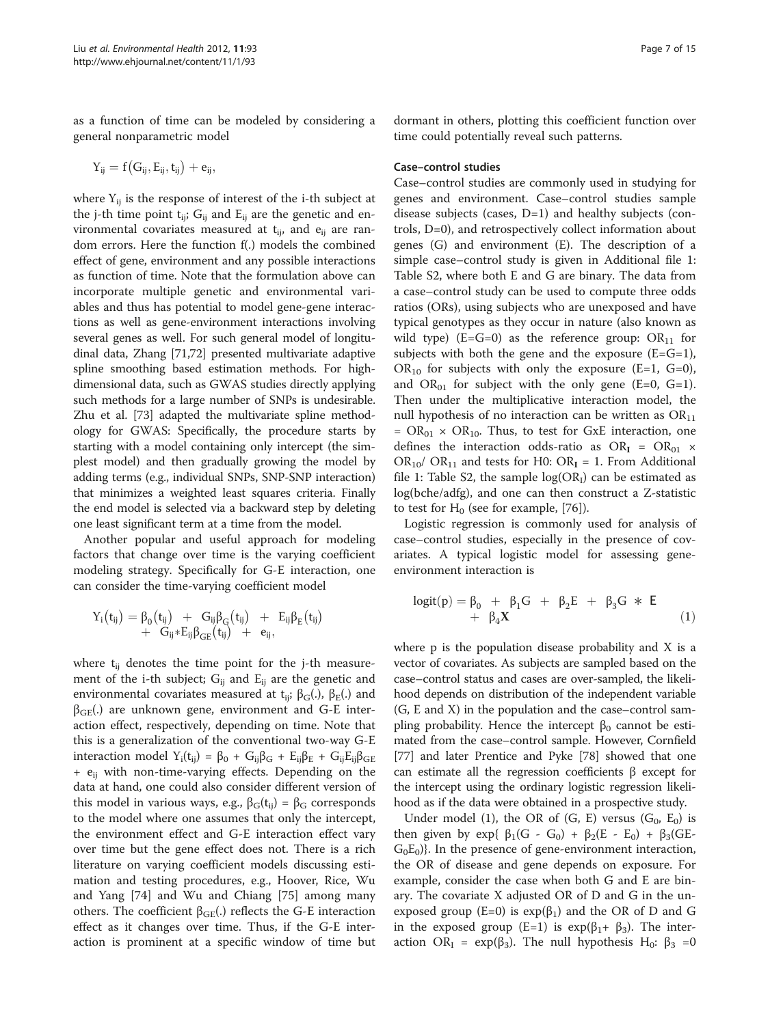as a function of time can be modeled by considering a general nonparametric model

$$
Y_{ij}=f\big(G_{ij},E_{ij},t_{ij}\big)+e_{ij},
$$

where  $Y_{ii}$  is the response of interest of the i-th subject at the j-th time point  $t_{ii}$ ;  $G_{ii}$  and  $E_{ii}$  are the genetic and environmental covariates measured at  $t_{ii}$ , and  $e_{ii}$  are random errors. Here the function f(.) models the combined effect of gene, environment and any possible interactions as function of time. Note that the formulation above can incorporate multiple genetic and environmental variables and thus has potential to model gene-gene interactions as well as gene-environment interactions involving several genes as well. For such general model of longitudinal data, Zhang [\[71,72\]](#page-13-0) presented multivariate adaptive spline smoothing based estimation methods. For highdimensional data, such as GWAS studies directly applying such methods for a large number of SNPs is undesirable. Zhu et al. [\[73\]](#page-13-0) adapted the multivariate spline methodology for GWAS: Specifically, the procedure starts by starting with a model containing only intercept (the simplest model) and then gradually growing the model by adding terms (e.g., individual SNPs, SNP-SNP interaction) that minimizes a weighted least squares criteria. Finally the end model is selected via a backward step by deleting one least significant term at a time from the model.

Another popular and useful approach for modeling factors that change over time is the varying coefficient modeling strategy. Specifically for G-E interaction, one can consider the time-varying coefficient model

$$
\begin{array}{lcl} Y_i\bigl(t_{ij}\bigr) = \beta_0\bigl(t_{ij}\bigr) &+& G_{ij}\beta_G\bigl(t_{ij}\bigr) &+& E_{ij}\beta_E\bigl(t_{ij}\bigr) \\ &+& G_{ij}*E_{ij}\beta_{GE}\bigl(t_{ij}\bigr) &+& e_{ij}, \end{array}
$$

where  $t_{ii}$  denotes the time point for the j-th measurement of the i-th subject;  $G_{ij}$  and  $E_{ij}$  are the genetic and environmental covariates measured at t<sub>ij</sub>;  $β<sub>G</sub>(.)$ ,  $β<sub>E</sub>(.)$  and  $\beta_{GE}(.)$  are unknown gene, environment and G-E interaction effect, respectively, depending on time. Note that this is a generalization of the conventional two-way G-E interaction model Y<sub>i</sub>(t<sub>ij</sub>) =  $\beta_0 + G_{ij}\beta_G + E_{ij}\beta_E + G_{ij}E_{ij}\beta_{GE}$  $+$  e<sub>ij</sub> with non-time-varying effects. Depending on the data at hand, one could also consider different version of this model in various ways, e.g.,  $\beta_G(t_{ij}) = \beta_G$  corresponds to the model where one assumes that only the intercept, the environment effect and G-E interaction effect vary over time but the gene effect does not. There is a rich literature on varying coefficient models discussing estimation and testing procedures, e.g., Hoover, Rice, Wu and Yang [\[74](#page-13-0)] and Wu and Chiang [\[75\]](#page-13-0) among many others. The coefficient  $β<sub>GE</sub>(.)$  reflects the G-E interaction effect as it changes over time. Thus, if the G-E interaction is prominent at a specific window of time but dormant in others, plotting this coefficient function over time could potentially reveal such patterns.

#### Case–control studies

Case–control studies are commonly used in studying for genes and environment. Case–control studies sample disease subjects (cases,  $D=1$ ) and healthy subjects (controls, D=0), and retrospectively collect information about genes (G) and environment (E). The description of a simple case–control study is given in Additional file [1](#page-11-0): Table S2, where both E and G are binary. The data from a case–control study can be used to compute three odds ratios (ORs), using subjects who are unexposed and have typical genotypes as they occur in nature (also known as wild type) (E=G=0) as the reference group:  $OR<sub>11</sub>$  for subjects with both the gene and the exposure  $(E=G=1)$ ,  $OR<sub>10</sub>$  for subjects with only the exposure (E=1, G=0), and  $OR_{01}$  for subject with the only gene (E=0, G=1). Then under the multiplicative interaction model, the null hypothesis of no interaction can be written as  $OR_{11}$ =  $OR<sub>01</sub> \times OR<sub>10</sub>$ . Thus, to test for GxE interaction, one defines the interaction odds-ratio as  $OR_I = OR_{O1} \times$  $OR_{10}/ OR_{11}$  and tests for H0:  $OR_I = 1$ . From Additional file [1](#page-11-0): Table S2, the sample  $log(OR<sub>I</sub>)$  can be estimated as log(bche/adfg), and one can then construct a Z-statistic to test for  $H_0$  (see for example, [[76\]](#page-13-0)).

Logistic regression is commonly used for analysis of case–control studies, especially in the presence of covariates. A typical logistic model for assessing geneenvironment interaction is

$$
logit(p) = \beta_0 + \beta_1 G + \beta_2 E + \beta_3 G * E
$$
  
+ 
$$
\beta_4 X
$$
 (1)

where p is the population disease probability and X is a vector of covariates. As subjects are sampled based on the case–control status and cases are over-sampled, the likelihood depends on distribution of the independent variable (G, E and X) in the population and the case–control sampling probability. Hence the intercept  $β_0$  cannot be estimated from the case–control sample. However, Cornfield [[77](#page-13-0)] and later Prentice and Pyke [\[78\]](#page-13-0) showed that one can estimate all the regression coefficients β except for the intercept using the ordinary logistic regression likelihood as if the data were obtained in a prospective study.

Under model (1), the OR of (G, E) versus ( $G_0$ ,  $E_0$ ) is then given by exp{  $\beta_1$ (G - G<sub>0</sub>) +  $\beta_2$ (E - E<sub>0</sub>) + β<sub>3</sub>(GE- $G_0E_0$ ). In the presence of gene-environment interaction, the OR of disease and gene depends on exposure. For example, consider the case when both G and E are binary. The covariate X adjusted OR of D and G in the unexposed group (E=0) is  $exp(\beta_1)$  and the OR of D and G in the exposed group (E=1) is  $exp(\beta_1 + \beta_3)$ . The interaction OR<sub>I</sub> = exp(β<sub>3</sub>). The null hypothesis H<sub>0</sub>: β<sub>3</sub> = 0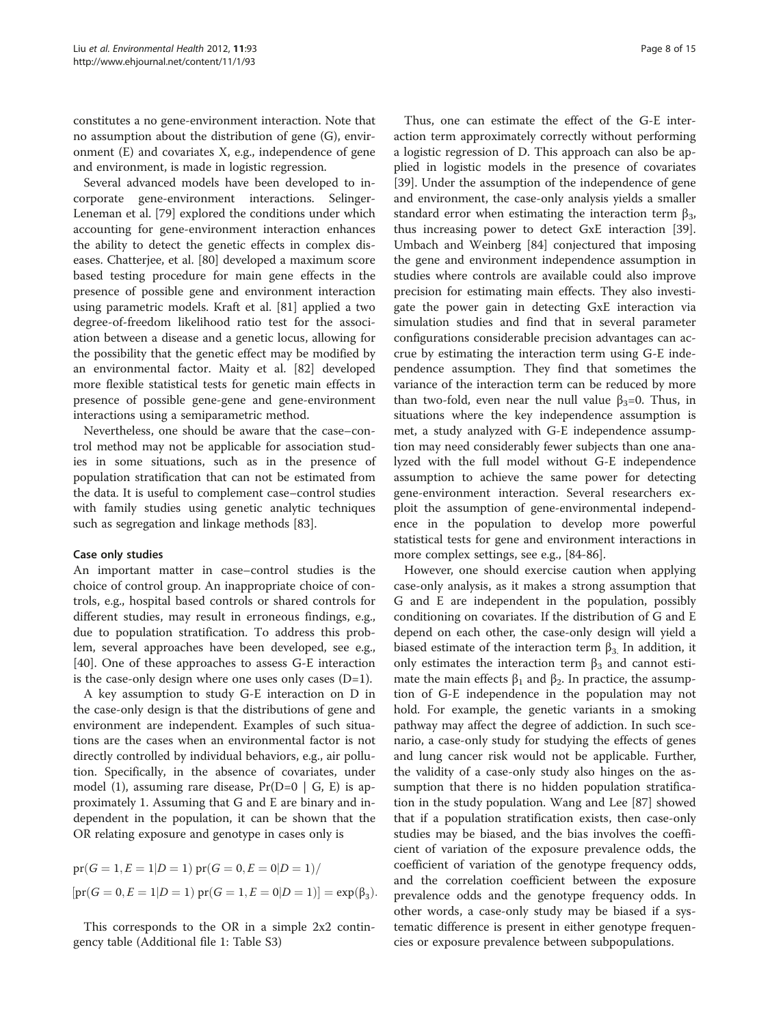constitutes a no gene-environment interaction. Note that no assumption about the distribution of gene (G), environment (E) and covariates X, e.g., independence of gene and environment, is made in logistic regression.

Several advanced models have been developed to incorporate gene-environment interactions. Selinger-Leneman et al. [\[79\]](#page-13-0) explored the conditions under which accounting for gene-environment interaction enhances the ability to detect the genetic effects in complex diseases. Chatterjee, et al. [\[80](#page-13-0)] developed a maximum score based testing procedure for main gene effects in the presence of possible gene and environment interaction using parametric models. Kraft et al. [\[81\]](#page-13-0) applied a two degree-of-freedom likelihood ratio test for the association between a disease and a genetic locus, allowing for the possibility that the genetic effect may be modified by an environmental factor. Maity et al. [[82](#page-13-0)] developed more flexible statistical tests for genetic main effects in presence of possible gene-gene and gene-environment interactions using a semiparametric method.

Nevertheless, one should be aware that the case–control method may not be applicable for association studies in some situations, such as in the presence of population stratification that can not be estimated from the data. It is useful to complement case–control studies with family studies using genetic analytic techniques such as segregation and linkage methods [\[83\]](#page-13-0).

#### Case only studies

An important matter in case–control studies is the choice of control group. An inappropriate choice of controls, e.g., hospital based controls or shared controls for different studies, may result in erroneous findings, e.g., due to population stratification. To address this problem, several approaches have been developed, see e.g., [[40\]](#page-12-0). One of these approaches to assess G-E interaction is the case-only design where one uses only cases  $(D=1)$ .

A key assumption to study G-E interaction on D in the case-only design is that the distributions of gene and environment are independent. Examples of such situations are the cases when an environmental factor is not directly controlled by individual behaviors, e.g., air pollution. Specifically, in the absence of covariates, under model (1), assuming rare disease,  $Pr(D=0 | G, E)$  is approximately 1. Assuming that G and E are binary and independent in the population, it can be shown that the OR relating exposure and genotype in cases only is

$$
pr(G = 1, E = 1|D = 1) pr(G = 0, E = 0|D = 1) /
$$
  
\n
$$
[pr(G = 0, E = 1|D = 1) pr(G = 1, E = 0|D = 1)] = exp(\beta_3).
$$

This corresponds to the OR in a simple 2x2 contingency table (Additional file [1:](#page-11-0) Table S3)

Thus, one can estimate the effect of the G-E interaction term approximately correctly without performing a logistic regression of D. This approach can also be applied in logistic models in the presence of covariates [[39\]](#page-12-0). Under the assumption of the independence of gene and environment, the case-only analysis yields a smaller standard error when estimating the interaction term  $\beta_3$ , thus increasing power to detect GxE interaction [\[39](#page-12-0)]. Umbach and Weinberg [[84\]](#page-13-0) conjectured that imposing the gene and environment independence assumption in studies where controls are available could also improve precision for estimating main effects. They also investigate the power gain in detecting GxE interaction via simulation studies and find that in several parameter configurations considerable precision advantages can accrue by estimating the interaction term using G-E independence assumption. They find that sometimes the variance of the interaction term can be reduced by more than two-fold, even near the null value  $β_3=0$ . Thus, in situations where the key independence assumption is met, a study analyzed with G-E independence assumption may need considerably fewer subjects than one analyzed with the full model without G-E independence assumption to achieve the same power for detecting gene-environment interaction. Several researchers exploit the assumption of gene-environmental independence in the population to develop more powerful statistical tests for gene and environment interactions in more complex settings, see e.g., [\[84](#page-13-0)-[86\]](#page-13-0).

However, one should exercise caution when applying case-only analysis, as it makes a strong assumption that G and E are independent in the population, possibly conditioning on covariates. If the distribution of G and E depend on each other, the case-only design will yield a biased estimate of the interaction term  $\beta_3$  In addition, it only estimates the interaction term  $\beta_3$  and cannot estimate the main effects  $β_1$  and  $β_2$ . In practice, the assumption of G-E independence in the population may not hold. For example, the genetic variants in a smoking pathway may affect the degree of addiction. In such scenario, a case-only study for studying the effects of genes and lung cancer risk would not be applicable. Further, the validity of a case-only study also hinges on the assumption that there is no hidden population stratification in the study population. Wang and Lee [[87\]](#page-13-0) showed that if a population stratification exists, then case-only studies may be biased, and the bias involves the coefficient of variation of the exposure prevalence odds, the coefficient of variation of the genotype frequency odds, and the correlation coefficient between the exposure prevalence odds and the genotype frequency odds. In other words, a case-only study may be biased if a systematic difference is present in either genotype frequencies or exposure prevalence between subpopulations.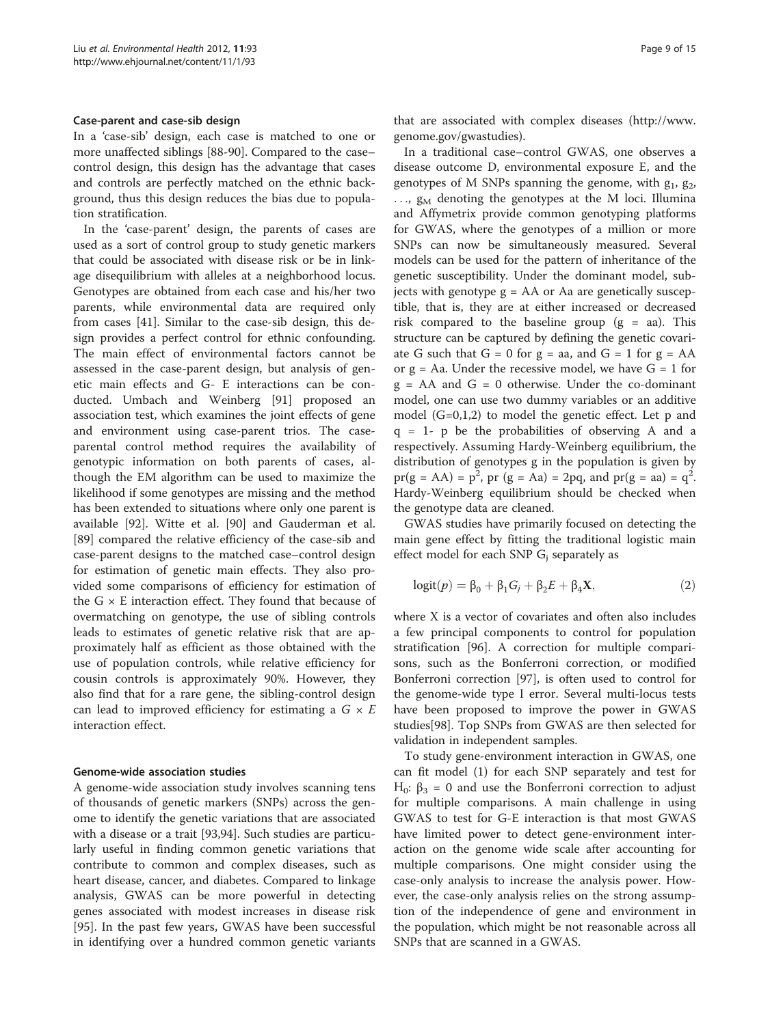#### Case-parent and case-sib design

In a 'case-sib' design, each case is matched to one or more unaffected siblings [\[88-90](#page-13-0)]. Compared to the case– control design, this design has the advantage that cases and controls are perfectly matched on the ethnic background, thus this design reduces the bias due to population stratification.

In the 'case-parent' design, the parents of cases are used as a sort of control group to study genetic markers that could be associated with disease risk or be in linkage disequilibrium with alleles at a neighborhood locus. Genotypes are obtained from each case and his/her two parents, while environmental data are required only from cases [[41](#page-12-0)]. Similar to the case-sib design, this design provides a perfect control for ethnic confounding. The main effect of environmental factors cannot be assessed in the case-parent design, but analysis of genetic main effects and G- E interactions can be conducted. Umbach and Weinberg [\[91\]](#page-13-0) proposed an association test, which examines the joint effects of gene and environment using case-parent trios. The caseparental control method requires the availability of genotypic information on both parents of cases, although the EM algorithm can be used to maximize the likelihood if some genotypes are missing and the method has been extended to situations where only one parent is available [[92](#page-13-0)]. Witte et al. [[90](#page-13-0)] and Gauderman et al. [[89\]](#page-13-0) compared the relative efficiency of the case-sib and case-parent designs to the matched case–control design for estimation of genetic main effects. They also provided some comparisons of efficiency for estimation of the  $G \times E$  interaction effect. They found that because of overmatching on genotype, the use of sibling controls leads to estimates of genetic relative risk that are approximately half as efficient as those obtained with the use of population controls, while relative efficiency for cousin controls is approximately 90%. However, they also find that for a rare gene, the sibling-control design can lead to improved efficiency for estimating a  $G \times E$ interaction effect.

#### Genome-wide association studies

A genome-wide association study involves scanning tens of thousands of genetic markers (SNPs) across the genome to identify the genetic variations that are associated with a disease or a trait [[93](#page-13-0),[94](#page-13-0)]. Such studies are particularly useful in finding common genetic variations that contribute to common and complex diseases, such as heart disease, cancer, and diabetes. Compared to linkage analysis, GWAS can be more powerful in detecting genes associated with modest increases in disease risk [[95\]](#page-13-0). In the past few years, GWAS have been successful in identifying over a hundred common genetic variants

that are associated with complex diseases ([http://www.](http://www.genome.gov/gwastudies) [genome.gov/gwastudies](http://www.genome.gov/gwastudies)).

In a traditional case–control GWAS, one observes a disease outcome D, environmental exposure E, and the genotypes of M SNPs spanning the genome, with  $g_1$ ,  $g_2$ ,  $..., g<sub>M</sub>$  denoting the genotypes at the M loci. Illumina and Affymetrix provide common genotyping platforms for GWAS, where the genotypes of a million or more SNPs can now be simultaneously measured. Several models can be used for the pattern of inheritance of the genetic susceptibility. Under the dominant model, subjects with genotype  $g = AA$  or Aa are genetically susceptible, that is, they are at either increased or decreased risk compared to the baseline group  $(g = aa)$ . This structure can be captured by defining the genetic covariate G such that  $G = 0$  for  $g = aa$ , and  $G = 1$  for  $g = AA$ or  $g = Aa$ . Under the recessive model, we have  $G = 1$  for  $g = AA$  and  $G = 0$  otherwise. Under the co-dominant model, one can use two dummy variables or an additive model  $(G=0,1,2)$  to model the genetic effect. Let p and q = 1- p be the probabilities of observing A and a respectively. Assuming Hardy-Weinberg equilibrium, the distribution of genotypes g in the population is given by  $pr(g = AA) = p^2$ ,  $pr(g = Aa) = 2pq$ , and  $pr(g = aa) = q^2$ . Hardy-Weinberg equilibrium should be checked when the genotype data are cleaned.

GWAS studies have primarily focused on detecting the main gene effect by fitting the traditional logistic main effect model for each SNP  $G_i$  separately as

$$
logit(p) = \beta_0 + \beta_1 G_j + \beta_2 E + \beta_4 X,
$$
\n(2)

where X is a vector of covariates and often also includes a few principal components to control for population stratification [[96](#page-13-0)]. A correction for multiple comparisons, such as the Bonferroni correction, or modified Bonferroni correction [[97](#page-13-0)], is often used to control for the genome-wide type I error. Several multi-locus tests have been proposed to improve the power in GWAS studies[\[98\]](#page-13-0). Top SNPs from GWAS are then selected for validation in independent samples.

To study gene-environment interaction in GWAS, one can fit model (1) for each SNP separately and test for  $H_0$ :  $β_3 = 0$  and use the Bonferroni correction to adjust for multiple comparisons. A main challenge in using GWAS to test for G-E interaction is that most GWAS have limited power to detect gene-environment interaction on the genome wide scale after accounting for multiple comparisons. One might consider using the case-only analysis to increase the analysis power. However, the case-only analysis relies on the strong assumption of the independence of gene and environment in the population, which might be not reasonable across all SNPs that are scanned in a GWAS.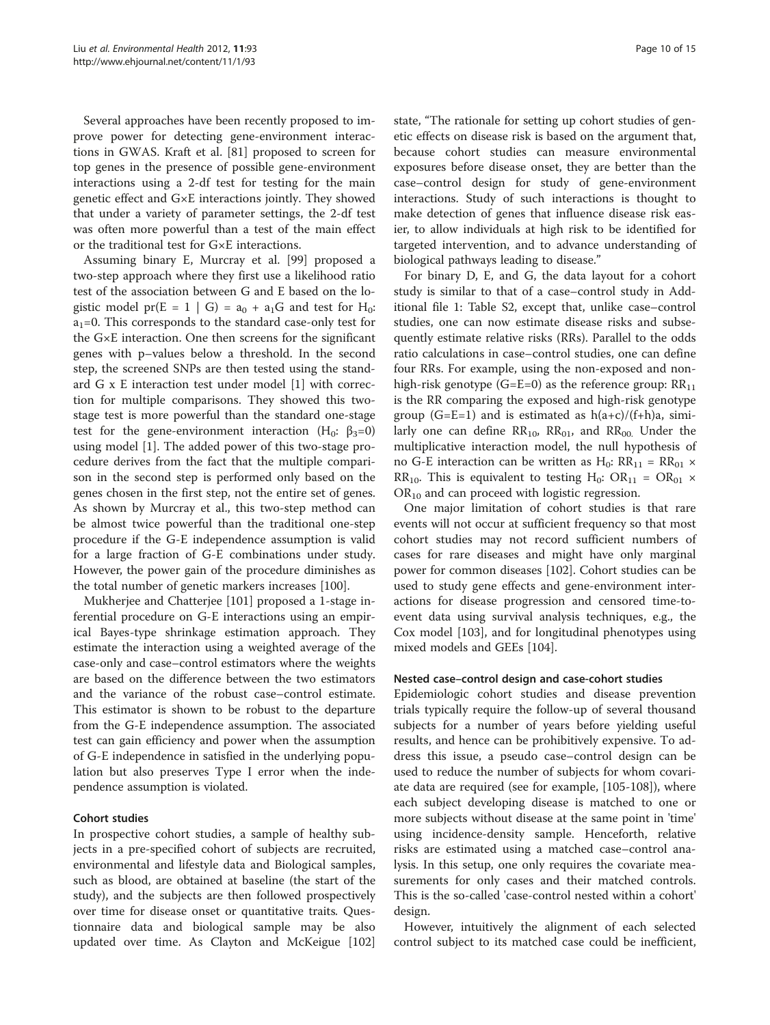Several approaches have been recently proposed to improve power for detecting gene-environment interactions in GWAS. Kraft et al. [[81\]](#page-13-0) proposed to screen for top genes in the presence of possible gene-environment interactions using a 2-df test for testing for the main genetic effect and G×E interactions jointly. They showed that under a variety of parameter settings, the 2-df test was often more powerful than a test of the main effect or the traditional test for G×E interactions.

Assuming binary E, Murcray et al. [\[99\]](#page-13-0) proposed a two-step approach where they first use a likelihood ratio test of the association between G and E based on the logistic model pr(E = 1 | G) =  $a_0 + a_1G$  and test for H<sub>0</sub>:  $a_1=0$ . This corresponds to the standard case-only test for the G×E interaction. One then screens for the significant genes with p–values below a threshold. In the second step, the screened SNPs are then tested using the standard G x E interaction test under model [\[1\]](#page-12-0) with correction for multiple comparisons. They showed this twostage test is more powerful than the standard one-stage test for the gene-environment interaction (H<sub>0</sub>: β<sub>3</sub>=0) using model [\[1](#page-12-0)]. The added power of this two-stage procedure derives from the fact that the multiple comparison in the second step is performed only based on the genes chosen in the first step, not the entire set of genes. As shown by Murcray et al., this two-step method can be almost twice powerful than the traditional one-step procedure if the G-E independence assumption is valid for a large fraction of G-E combinations under study. However, the power gain of the procedure diminishes as the total number of genetic markers increases [[100\]](#page-13-0).

Mukherjee and Chatterjee [\[101\]](#page-13-0) proposed a 1-stage inferential procedure on G-E interactions using an empirical Bayes-type shrinkage estimation approach. They estimate the interaction using a weighted average of the case-only and case–control estimators where the weights are based on the difference between the two estimators and the variance of the robust case–control estimate. This estimator is shown to be robust to the departure from the G-E independence assumption. The associated test can gain efficiency and power when the assumption of G-E independence in satisfied in the underlying population but also preserves Type I error when the independence assumption is violated.

#### Cohort studies

In prospective cohort studies, a sample of healthy subjects in a pre-specified cohort of subjects are recruited, environmental and lifestyle data and Biological samples, such as blood, are obtained at baseline (the start of the study), and the subjects are then followed prospectively over time for disease onset or quantitative traits. Questionnaire data and biological sample may be also updated over time. As Clayton and McKeigue [[102](#page-13-0)]

state, "The rationale for setting up cohort studies of genetic effects on disease risk is based on the argument that, because cohort studies can measure environmental exposures before disease onset, they are better than the case–control design for study of gene-environment interactions. Study of such interactions is thought to make detection of genes that influence disease risk easier, to allow individuals at high risk to be identified for targeted intervention, and to advance understanding of biological pathways leading to disease."

For binary D, E, and G, the data layout for a cohort study is similar to that of a case–control study in Additional file [1:](#page-11-0) Table S2, except that, unlike case–control studies, one can now estimate disease risks and subsequently estimate relative risks (RRs). Parallel to the odds ratio calculations in case–control studies, one can define four RRs. For example, using the non-exposed and nonhigh-risk genotype (G=E=0) as the reference group:  $RR_{11}$ is the RR comparing the exposed and high-risk genotype group (G=E=1) and is estimated as  $h(a+c)/(f+h)a$ , similarly one can define  $RR_{10}$ ,  $RR_{01}$ , and  $RR_{00}$ . Under the multiplicative interaction model, the null hypothesis of no G-E interaction can be written as  $H_0$ :  $RR_{11} = RR_{01} \times$ RR<sub>10</sub>. This is equivalent to testing H<sub>0</sub>: OR<sub>11</sub> = OR<sub>01</sub>  $\times$  $OR<sub>10</sub>$  and can proceed with logistic regression.

One major limitation of cohort studies is that rare events will not occur at sufficient frequency so that most cohort studies may not record sufficient numbers of cases for rare diseases and might have only marginal power for common diseases [[102](#page-13-0)]. Cohort studies can be used to study gene effects and gene-environment interactions for disease progression and censored time-toevent data using survival analysis techniques, e.g., the Cox model [[103\]](#page-13-0), and for longitudinal phenotypes using mixed models and GEEs [\[104\]](#page-13-0).

#### Nested case–control design and case-cohort studies

Epidemiologic cohort studies and disease prevention trials typically require the follow-up of several thousand subjects for a number of years before yielding useful results, and hence can be prohibitively expensive. To address this issue, a pseudo case–control design can be used to reduce the number of subjects for whom covariate data are required (see for example, [\[105](#page-13-0)-[108](#page-13-0)]), where each subject developing disease is matched to one or more subjects without disease at the same point in 'time' using incidence-density sample. Henceforth, relative risks are estimated using a matched case–control analysis. In this setup, one only requires the covariate measurements for only cases and their matched controls. This is the so-called 'case-control nested within a cohort' design.

However, intuitively the alignment of each selected control subject to its matched case could be inefficient,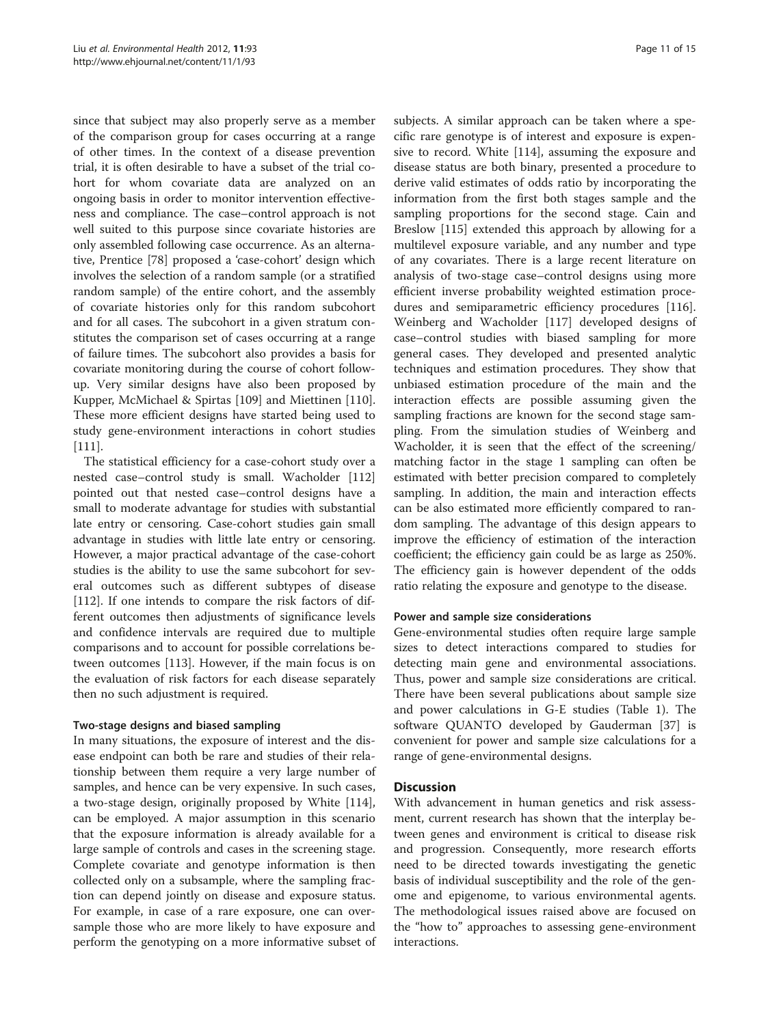since that subject may also properly serve as a member of the comparison group for cases occurring at a range of other times. In the context of a disease prevention trial, it is often desirable to have a subset of the trial cohort for whom covariate data are analyzed on an ongoing basis in order to monitor intervention effectiveness and compliance. The case–control approach is not well suited to this purpose since covariate histories are only assembled following case occurrence. As an alternative, Prentice [\[78\]](#page-13-0) proposed a 'case-cohort' design which involves the selection of a random sample (or a stratified random sample) of the entire cohort, and the assembly of covariate histories only for this random subcohort and for all cases. The subcohort in a given stratum constitutes the comparison set of cases occurring at a range of failure times. The subcohort also provides a basis for covariate monitoring during the course of cohort followup. Very similar designs have also been proposed by Kupper, McMichael & Spirtas [\[109\]](#page-13-0) and Miettinen [\[110](#page-14-0)]. These more efficient designs have started being used to study gene-environment interactions in cohort studies [[111\]](#page-14-0).

The statistical efficiency for a case-cohort study over a nested case–control study is small. Wacholder [[112](#page-14-0)] pointed out that nested case–control designs have a small to moderate advantage for studies with substantial late entry or censoring. Case-cohort studies gain small advantage in studies with little late entry or censoring. However, a major practical advantage of the case-cohort studies is the ability to use the same subcohort for several outcomes such as different subtypes of disease [[112\]](#page-14-0). If one intends to compare the risk factors of different outcomes then adjustments of significance levels and confidence intervals are required due to multiple comparisons and to account for possible correlations between outcomes [[113](#page-14-0)]. However, if the main focus is on the evaluation of risk factors for each disease separately then no such adjustment is required.

### Two-stage designs and biased sampling

In many situations, the exposure of interest and the disease endpoint can both be rare and studies of their relationship between them require a very large number of samples, and hence can be very expensive. In such cases, a two-stage design, originally proposed by White [\[114](#page-14-0)], can be employed. A major assumption in this scenario that the exposure information is already available for a large sample of controls and cases in the screening stage. Complete covariate and genotype information is then collected only on a subsample, where the sampling fraction can depend jointly on disease and exposure status. For example, in case of a rare exposure, one can oversample those who are more likely to have exposure and perform the genotyping on a more informative subset of

subjects. A similar approach can be taken where a specific rare genotype is of interest and exposure is expensive to record. White [[114](#page-14-0)], assuming the exposure and disease status are both binary, presented a procedure to derive valid estimates of odds ratio by incorporating the information from the first both stages sample and the sampling proportions for the second stage. Cain and Breslow [[115\]](#page-14-0) extended this approach by allowing for a multilevel exposure variable, and any number and type of any covariates. There is a large recent literature on analysis of two-stage case–control designs using more efficient inverse probability weighted estimation procedures and semiparametric efficiency procedures [[116](#page-14-0)]. Weinberg and Wacholder [[117\]](#page-14-0) developed designs of case–control studies with biased sampling for more general cases. They developed and presented analytic techniques and estimation procedures. They show that unbiased estimation procedure of the main and the interaction effects are possible assuming given the sampling fractions are known for the second stage sampling. From the simulation studies of Weinberg and Wacholder, it is seen that the effect of the screening/ matching factor in the stage 1 sampling can often be estimated with better precision compared to completely sampling. In addition, the main and interaction effects can be also estimated more efficiently compared to random sampling. The advantage of this design appears to improve the efficiency of estimation of the interaction coefficient; the efficiency gain could be as large as 250%. The efficiency gain is however dependent of the odds ratio relating the exposure and genotype to the disease.

### Power and sample size considerations

Gene-environmental studies often require large sample sizes to detect interactions compared to studies for detecting main gene and environmental associations. Thus, power and sample size considerations are critical. There have been several publications about sample size and power calculations in G-E studies (Table [1\)](#page-11-0). The software QUANTO developed by Gauderman [\[37](#page-12-0)] is convenient for power and sample size calculations for a range of gene-environmental designs.

### **Discussion**

With advancement in human genetics and risk assessment, current research has shown that the interplay between genes and environment is critical to disease risk and progression. Consequently, more research efforts need to be directed towards investigating the genetic basis of individual susceptibility and the role of the genome and epigenome, to various environmental agents. The methodological issues raised above are focused on the "how to" approaches to assessing gene-environment interactions.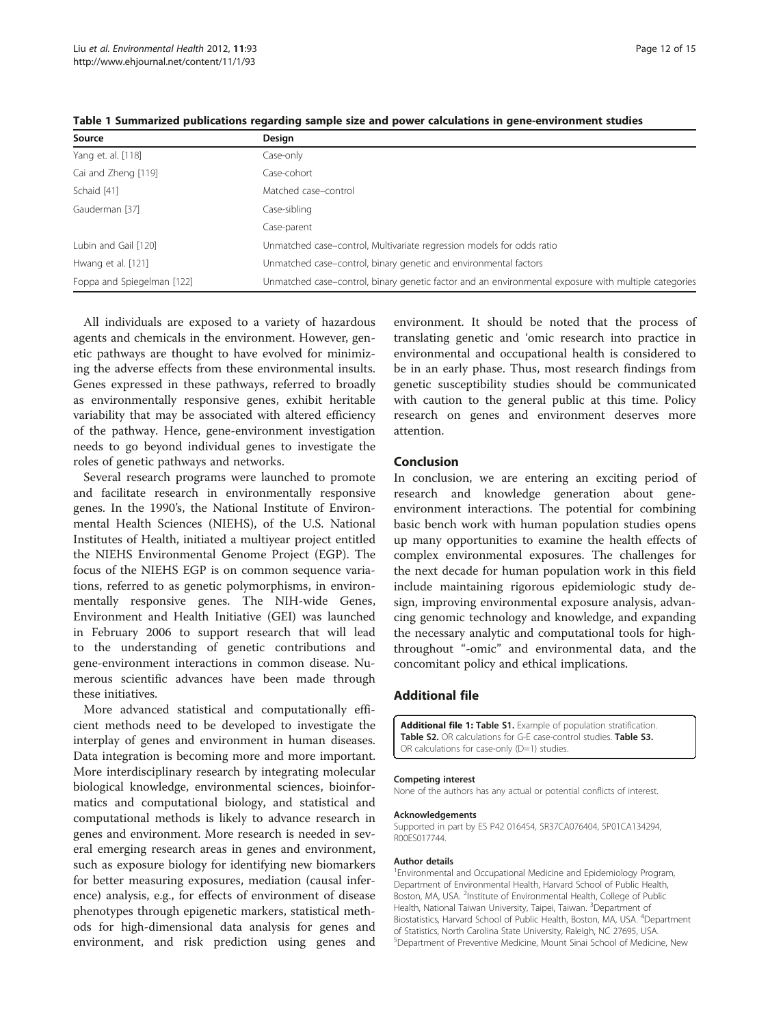| Source                     | Design                                                                                               |
|----------------------------|------------------------------------------------------------------------------------------------------|
| Yang et. al. [118]         | Case-only                                                                                            |
| Cai and Zheng [119]        | Case-cohort                                                                                          |
| Schaid [41]                | Matched case-control                                                                                 |
| Gauderman [37]             | Case-sibling                                                                                         |
|                            | Case-parent                                                                                          |
| Lubin and Gail [120]       | Unmatched case–control, Multivariate regression models for odds ratio                                |
| Hwang et al. [121]         | Unmatched case-control, binary genetic and environmental factors                                     |
| Foppa and Spiegelman [122] | Unmatched case–control, binary genetic factor and an environmental exposure with multiple categories |

<span id="page-11-0"></span>Table 1 Summarized publications regarding sample size and power calculations in gene-environment studies

All individuals are exposed to a variety of hazardous agents and chemicals in the environment. However, genetic pathways are thought to have evolved for minimizing the adverse effects from these environmental insults. Genes expressed in these pathways, referred to broadly as environmentally responsive genes, exhibit heritable variability that may be associated with altered efficiency of the pathway. Hence, gene-environment investigation needs to go beyond individual genes to investigate the roles of genetic pathways and networks.

Several research programs were launched to promote and facilitate research in environmentally responsive genes. In the 1990's, the National Institute of Environmental Health Sciences (NIEHS), of the U.S. National Institutes of Health, initiated a multiyear project entitled the NIEHS Environmental Genome Project (EGP). The focus of the NIEHS EGP is on common sequence variations, referred to as genetic polymorphisms, in environmentally responsive genes. The NIH-wide Genes, Environment and Health Initiative (GEI) was launched in February 2006 to support research that will lead to the understanding of genetic contributions and gene-environment interactions in common disease. Numerous scientific advances have been made through these initiatives.

More advanced statistical and computationally efficient methods need to be developed to investigate the interplay of genes and environment in human diseases. Data integration is becoming more and more important. More interdisciplinary research by integrating molecular biological knowledge, environmental sciences, bioinformatics and computational biology, and statistical and computational methods is likely to advance research in genes and environment. More research is needed in several emerging research areas in genes and environment, such as exposure biology for identifying new biomarkers for better measuring exposures, mediation (causal inference) analysis, e.g., for effects of environment of disease phenotypes through epigenetic markers, statistical methods for high-dimensional data analysis for genes and environment, and risk prediction using genes and

environment. It should be noted that the process of translating genetic and 'omic research into practice in environmental and occupational health is considered to be in an early phase. Thus, most research findings from genetic susceptibility studies should be communicated with caution to the general public at this time. Policy research on genes and environment deserves more attention.

#### Conclusion

In conclusion, we are entering an exciting period of research and knowledge generation about geneenvironment interactions. The potential for combining basic bench work with human population studies opens up many opportunities to examine the health effects of complex environmental exposures. The challenges for the next decade for human population work in this field include maintaining rigorous epidemiologic study design, improving environmental exposure analysis, advancing genomic technology and knowledge, and expanding the necessary analytic and computational tools for highthroughout "-omic" and environmental data, and the concomitant policy and ethical implications.

#### Additional file

[Additional file 1:](http://www.biomedcentral.com/content/supplementary/1476-069X-11-93-S1.doc) Table S1. Example of population stratification. Table S2. OR calculations for G-E case-control studies. Table S3. OR calculations for case-only (D=1) studies.

#### Competing interest

None of the authors has any actual or potential conflicts of interest.

#### Acknowledgements

Supported in part by ES P42 016454, 5R37CA076404, 5P01CA134294, R00ES017744.

#### Author details

1 Environmental and Occupational Medicine and Epidemiology Program, Department of Environmental Health, Harvard School of Public Health, Boston, MA, USA. <sup>2</sup>Institute of Environmental Health, College of Public Health, National Taiwan University, Taipei, Taiwan. <sup>3</sup>Department of Biostatistics, Harvard School of Public Health, Boston, MA, USA. <sup>4</sup> Department of Statistics, North Carolina State University, Raleigh, NC 27695, USA. 5 Department of Preventive Medicine, Mount Sinai School of Medicine, New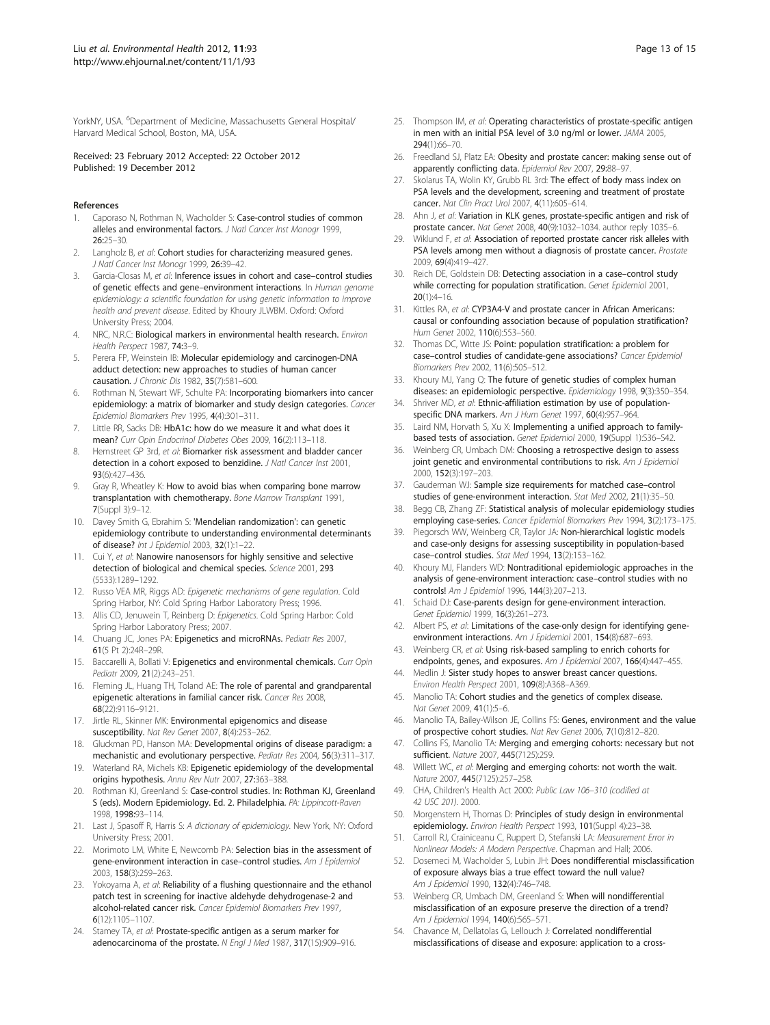<span id="page-12-0"></span>YorkNY, USA. <sup>6</sup>Department of Medicine, Massachusetts General Hospital/ Harvard Medical School, Boston, MA, USA.

Received: 23 February 2012 Accepted: 22 October 2012 Published: 19 December 2012

#### References

- Caporaso N, Rothman N, Wacholder S: Case-control studies of common alleles and environmental factors. J Natl Cancer Inst Monogr 1999,  $26.25 - 30$
- Langholz B, et al: Cohort studies for characterizing measured genes. J Natl Cancer Inst Monogr 1999, 26:39–42.
- 3. Garcia-Closas M, et al: Inference issues in cohort and case-control studies of genetic effects and gene–environment interactions. In Human genome epidemiology: a scientific foundation for using genetic information to improve health and prevent disease. Edited by Khoury JLWBM. Oxford: Oxford University Press; 2004.
- 4. NRC, N.R.C: Biological markers in environmental health research. Environ Health Perspect 1987, 74:3-9.
- 5. Perera FP, Weinstein IB: Molecular epidemiology and carcinogen-DNA adduct detection: new approaches to studies of human cancer causation. J Chronic Dis 1982, 35(7):581–600.
- Rothman N, Stewart WF, Schulte PA: Incorporating biomarkers into cancer epidemiology: a matrix of biomarker and study design categories. Cancer Epidemiol Biomarkers Prev 1995, 4(4):301–311.
- 7. Little RR, Sacks DB: HbA1c: how do we measure it and what does it mean? Curr Opin Endocrinol Diabetes Obes 2009, 16(2):113–118.
- 8. Hemstreet GP 3rd, et al: Biomarker risk assessment and bladder cancer detection in a cohort exposed to benzidine. J Natl Cancer Inst 2001, 93(6):427–436.
- 9. Gray R, Wheatley K: How to avoid bias when comparing bone marrow transplantation with chemotherapy. Bone Marrow Transplant 1991, 7(Suppl 3):9–12.
- 10. Davey Smith G, Ebrahim S: 'Mendelian randomization': can genetic epidemiology contribute to understanding environmental determinants of disease? Int J Epidemiol 2003, 32(1):1–22.
- 11. Cui Y, et al: Nanowire nanosensors for highly sensitive and selective detection of biological and chemical species. Science 2001, 293 (5533):1289–1292.
- 12. Russo VEA MR, Riggs AD: Epigenetic mechanisms of gene regulation. Cold Spring Harbor, NY: Cold Spring Harbor Laboratory Press; 1996.
- 13. Allis CD, Jenuwein T, Reinberg D: Epigenetics. Cold Spring Harbor: Cold Spring Harbor Laboratory Press; 2007.
- 14. Chuang JC, Jones PA: Epigenetics and microRNAs. Pediatr Res 2007, 61(5 Pt 2):24R–29R.
- 15. Baccarelli A, Bollati V: Epigenetics and environmental chemicals. Curr Opin Pediatr 2009, 21(2):243–251.
- 16. Fleming JL, Huang TH, Toland AE: The role of parental and grandparental epigenetic alterations in familial cancer risk. Cancer Res 2008, 68(22):9116–9121.
- 17. Jirtle RL, Skinner MK: Environmental epigenomics and disease susceptibility. Nat Rev Genet 2007, 8(4):253–262.
- 18. Gluckman PD, Hanson MA: Developmental origins of disease paradigm: a mechanistic and evolutionary perspective. Pediatr Res 2004, 56(3):311–317.
- 19. Waterland RA, Michels KB: Epigenetic epidemiology of the developmental origins hypothesis. Annu Rev Nutr 2007, 27:363–388.
- 20. Rothman KJ, Greenland S: Case-control studies. In: Rothman KJ, Greenland S (eds). Modern Epidemiology. Ed. 2. Philadelphia. PA: Lippincott-Raven 1998, 1998:93–114.
- 21. Last J, Spasoff R, Harris S: A dictionary of epidemiology. New York, NY: Oxford University Press; 2001.
- 22. Morimoto LM, White E, Newcomb PA: Selection bias in the assessment of gene-environment interaction in case–control studies. Am J Epidemiol 2003, 158(3):259–263.
- 23. Yokoyama A, et al: Reliability of a flushing questionnaire and the ethanol patch test in screening for inactive aldehyde dehydrogenase-2 and alcohol-related cancer risk. Cancer Epidemiol Biomarkers Prev 1997, 6(12):1105–1107.
- 24. Stamey TA, et al: Prostate-specific antigen as a serum marker for adenocarcinoma of the prostate. N Engl J Med 1987, 317(15):909-916.
- 25. Thompson IM, et al: Operating characteristics of prostate-specific antigen in men with an initial PSA level of 3.0 ng/ml or lower. JAMA 2005, 294(1):66–70.
- 26. Freedland SJ, Platz EA: Obesity and prostate cancer: making sense out of apparently conflicting data. Epidemiol Rev 2007, 29:88–97.
- 27. Skolarus TA, Wolin KY, Grubb RL 3rd: The effect of body mass index on PSA levels and the development, screening and treatment of prostate cancer. Nat Clin Pract Urol 2007, 4(11):605–614.
- 28. Ahn J, et al: Variation in KLK genes, prostate-specific antigen and risk of prostate cancer. Nat Genet 2008, 40(9):1032–1034. author reply 1035–6.
- Wiklund F, et al: Association of reported prostate cancer risk alleles with PSA levels among men without a diagnosis of prostate cancer. Prostate 2009, 69(4):419–427.
- 30. Reich DE, Goldstein DB: Detecting association in a case–control study while correcting for population stratification. Genet Epidemiol 2001, 20(1):4–16.
- 31. Kittles RA, et al: CYP3A4-V and prostate cancer in African Americans: causal or confounding association because of population stratification? Hum Genet 2002, 110(6):553–560.
- 32. Thomas DC, Witte JS: Point: population stratification: a problem for case–control studies of candidate-gene associations? Cancer Epidemiol Biomarkers Prev 2002, 11(6):505–512.
- 33. Khoury MJ, Yang Q: The future of genetic studies of complex human diseases: an epidemiologic perspective. Epidemiology 1998, 9(3):350–354.
- 34. Shriver MD, et al: Ethnic-affiliation estimation by use of populationspecific DNA markers. Am J Hum Genet 1997, 60(4):957–964.
- 35. Laird NM, Horvath S, Xu X: Implementing a unified approach to familybased tests of association. Genet Epidemiol 2000, 19(Suppl 1):S36–S42.
- 36. Weinberg CR, Umbach DM: Choosing a retrospective design to assess joint genetic and environmental contributions to risk. Am J Epidemiol 2000, 152(3):197–203.
- 37. Gauderman WJ: Sample size requirements for matched case–control studies of gene-environment interaction. Stat Med 2002, 21(1):35–50.
- 38. Begg CB, Zhang ZF: Statistical analysis of molecular epidemiology studies employing case-series. Cancer Epidemiol Biomarkers Prev 1994, 3(2):173-175.
- 39. Piegorsch WW, Weinberg CR, Taylor JA: Non-hierarchical logistic models and case-only designs for assessing susceptibility in population-based case–control studies. Stat Med 1994, 13(2):153–162.
- 40. Khoury MJ, Flanders WD: Nontraditional epidemiologic approaches in the analysis of gene-environment interaction: case–control studies with no controls! Am J Epidemiol 1996, 144(3):207–213.
- 41. Schaid DJ: Case-parents design for gene-environment interaction. Genet Epidemiol 1999, 16(3):261-273.
- 42. Albert PS, et al: Limitations of the case-only design for identifying geneenvironment interactions. Am J Epidemiol 2001, 154(8):687-693.
- 43. Weinberg CR, et al: Using risk-based sampling to enrich cohorts for endpoints, genes, and exposures. Am J Epidemiol 2007, 166(4):447-455.
- 44. Medlin J: Sister study hopes to answer breast cancer questions. Environ Health Perspect 2001, 109(8):A368–A369.
- 45. Manolio TA: Cohort studies and the genetics of complex disease. Nat Genet 2009, 41(1):5–6.
- 46. Manolio TA, Bailey-Wilson JE, Collins FS: Genes, environment and the value of prospective cohort studies. Nat Rev Genet 2006, 7(10):812–820.
- 47. Collins FS, Manolio TA: Merging and emerging cohorts: necessary but not sufficient. Nature 2007, 445(7125):259.
- 48. Willett WC, et al: Merging and emerging cohorts: not worth the wait. Nature 2007, 445(7125):257–258.
- 49. CHA, Children's Health Act 2000: Public Law 106–310 (codified at 42 USC 201). 2000.
- 50. Morgenstern H, Thomas D: Principles of study design in environmental epidemiology. Environ Health Perspect 1993, 101(Suppl 4):23–38.
- 51. Carroll RJ, Crainiceanu C, Ruppert D, Stefanski LA: Measurement Error in Nonlinear Models: A Modern Perspective. Chapman and Hall; 2006.
- 52. Dosemeci M, Wacholder S, Lubin JH: Does nondifferential misclassification of exposure always bias a true effect toward the null value? Am J Epidemiol 1990, 132(4):746–748.
- 53. Weinberg CR, Umbach DM, Greenland S: When will nondifferential misclassification of an exposure preserve the direction of a trend? Am J Epidemiol 1994, 140(6):565–571.
- 54. Chavance M, Dellatolas G, Lellouch J: Correlated nondifferential misclassifications of disease and exposure: application to a cross-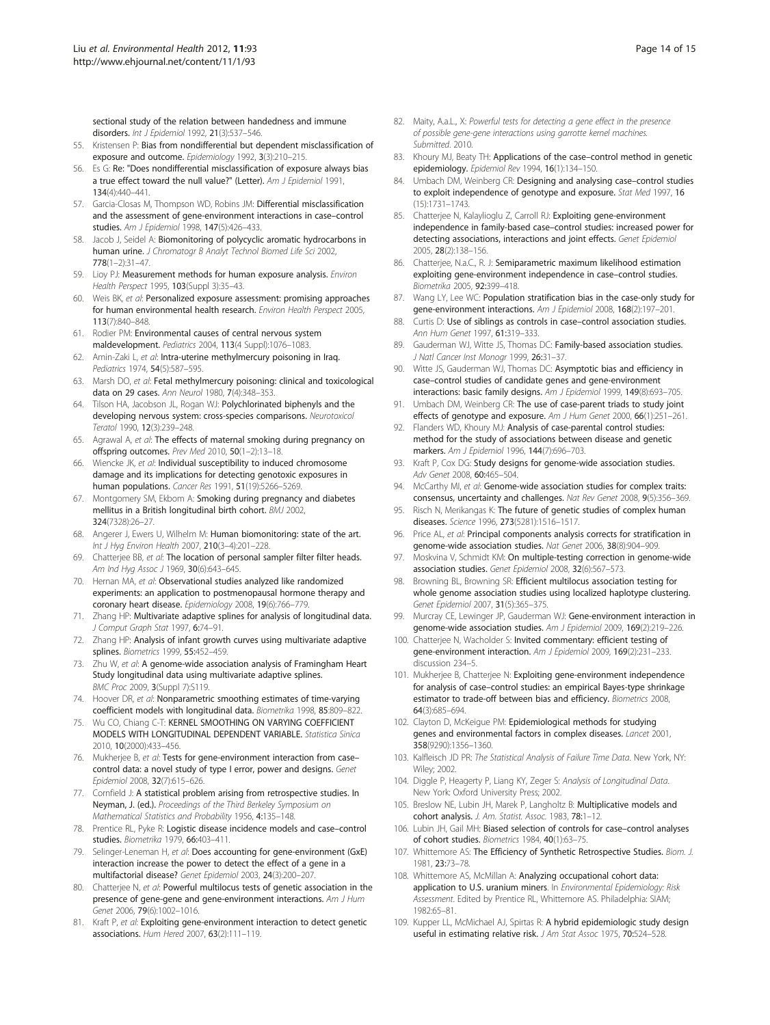<span id="page-13-0"></span>sectional study of the relation between handedness and immune disorders. Int J Epidemiol 1992, 21(3):537–546.

- 55. Kristensen P: Bias from nondifferential but dependent misclassification of exposure and outcome. Epidemiology 1992, 3(3):210–215.
- 56. Es G: Re: "Does nondifferential misclassification of exposure always bias a true effect toward the null value?" (Letter). Am J Epidemiol 1991, 134(4):440–441.
- 57. Garcia-Closas M, Thompson WD, Robins JM: Differential misclassification and the assessment of gene-environment interactions in case–control studies. Am J Epidemiol 1998, 147(5):426–433.
- 58. Jacob J, Seidel A: Biomonitoring of polycyclic aromatic hydrocarbons in human urine. J Chromatogr B Analyt Technol Biomed Life Sci 2002, 778(1–2):31–47.
- 59. Lioy PJ: Measurement methods for human exposure analysis. Environ Health Perspect 1995, 103(Suppl 3):35–43.
- 60. Weis BK, et al: Personalized exposure assessment: promising approaches for human environmental health research. Environ Health Perspect 2005, 113(7):840–848.
- 61. Rodier PM: Environmental causes of central nervous system maldevelopment. Pediatrics 2004, 113(4 Suppl):1076–1083.
- 62. Amin-Zaki L, et al: Intra-uterine methylmercury poisoning in Iraq. Pediatrics 1974, 54(5):587–595.
- 63. Marsh DO, et al: Fetal methylmercury poisoning: clinical and toxicological data on 29 cases. Ann Neurol 1980, 7(4):348–353.
- 64. Tilson HA, Jacobson JL, Rogan WJ: Polychlorinated biphenyls and the developing nervous system: cross-species comparisons. Neurotoxicol Teratol 1990, 12(3):239–248.
- 65. Agrawal A, et al: The effects of maternal smoking during pregnancy on offspring outcomes. Prev Med 2010, 50(1–2):13–18.
- 66. Wiencke JK, et al: Individual susceptibility to induced chromosome damage and its implications for detecting genotoxic exposures in human populations. Cancer Res 1991, 51(19):5266–5269.
- 67. Montgomery SM, Ekbom A: Smoking during pregnancy and diabetes mellitus in a British longitudinal birth cohort. BMJ 2002, 324(7328):26–27.
- 68. Angerer J, Ewers U, Wilhelm M: Human biomonitoring: state of the art. Int J Hyg Environ Health 2007, 210(3–4):201–228.
- 69. Chatterjee BB, et al: The location of personal sampler filter filter heads. Am Ind Hyg Assoc J 1969, 30(6):643-645.
- 70. Hernan MA, et al: Observational studies analyzed like randomized experiments: an application to postmenopausal hormone therapy and coronary heart disease. Epidemiology 2008, 19(6):766–779.
- 71. Zhang HP: Multivariate adaptive splines for analysis of longitudinal data. J Comput Graph Stat 1997, 6:74–91.
- 72. Zhang HP: Analysis of infant growth curves using multivariate adaptive splines. Biometrics 1999, 55:452-459.
- 73. Zhu W, et al: A genome-wide association analysis of Framingham Heart Study longitudinal data using multivariate adaptive splines. BMC Proc 2009, 3(Suppl 7):S119.
- 74. Hoover DR, et al: Nonparametric smoothing estimates of time-varying coefficient models with longitudinal data. Biometrika 1998, 85:809–822.
- 75. Wu CO, Chiang C-T: KERNEL SMOOTHING ON VARYING COEFFICIENT MODELS WITH LONGITUDINAL DEPENDENT VARIABLE. Statistica Sinica 2010, 10(2000):433–456.
- 76. Mukherjee B, et al: Tests for gene-environment interaction from casecontrol data: a novel study of type I error, power and designs. Genet Epidemiol 2008, 32(7):615–626.
- 77. Cornfield J: A statistical problem arising from retrospective studies. In Neyman, J. (ed.). Proceedings of the Third Berkeley Symposium on Mathematical Statistics and Probability 1956, 4:135–148.
- 78. Prentice RL, Pyke R: Logistic disease incidence models and case–control studies. Biometrika 1979, 66:403-411.
- 79. Selinger-Leneman H, et al: Does accounting for gene-environment (GxE) interaction increase the power to detect the effect of a gene in a multifactorial disease? Genet Epidemiol 2003, 24(3):200–207.
- 80. Chatterjee N, et al: Powerful multilocus tests of genetic association in the presence of gene-gene and gene-environment interactions. Am J Hum Genet 2006, 79(6):1002–1016.
- 81. Kraft P, et al: Exploiting gene-environment interaction to detect genetic associations. Hum Hered 2007, 63(2):111–119.
- 82. Maity, A.a.L., X: Powerful tests for detecting a gene effect in the presence of possible gene-gene interactions using garrotte kernel machines. Submitted. 2010.
- 83. Khoury MJ, Beaty TH: Applications of the case-control method in genetic epidemiology. Epidemiol Rev 1994, 16(1):134–150.
- 84. Umbach DM, Weinberg CR: Designing and analysing case-control studies to exploit independence of genotype and exposure. Stat Med 1997, 16 (15):1731–1743.
- 85. Chatteriee N, Kalaylioglu Z, Carroll RJ: Exploiting gene-environment independence in family-based case–control studies: increased power for detecting associations, interactions and joint effects. Genet Epidemiol 2005, 28(2):138–156.
- 86. Chatterjee, N.a.C., R. J: Semiparametric maximum likelihood estimation exploiting gene-environment independence in case–control studies. Biometrika 2005, 92:399–418.
- 87. Wang LY, Lee WC: Population stratification bias in the case-only study for gene-environment interactions. Am J Epidemiol 2008, 168(2):197-201.
- 88. Curtis D: Use of siblings as controls in case–control association studies. Ann Hum Genet 1997, 61:319-333.
- 89. Gauderman WJ, Witte JS, Thomas DC: Family-based association studies. J Natl Cancer Inst Monogr 1999, 26:31–37.
- 90. Witte JS, Gauderman WJ, Thomas DC: Asymptotic bias and efficiency in case–control studies of candidate genes and gene-environment interactions: basic family designs. Am J Epidemiol 1999, 149(8):693–705.
- 91. Umbach DM, Weinberg CR: The use of case-parent triads to study joint effects of genotype and exposure. Am J Hum Genet 2000, 66(1):251-261.
- 92. Flanders WD, Khoury MJ: Analysis of case-parental control studies: method for the study of associations between disease and genetic markers. Am J Epidemiol 1996, 144(7):696–703.
- 93. Kraft P, Cox DG: Study designs for genome-wide association studies. Adv Genet 2008, 60:465–504.
- 94. McCarthy MI, et al: Genome-wide association studies for complex traits: consensus, uncertainty and challenges. Nat Rev Genet 2008, 9(5):356–369.
- 95. Risch N, Merikangas K: The future of genetic studies of complex human diseases. Science 1996, 273(5281):1516–1517.
- 96. Price AL, et al: Principal components analysis corrects for stratification in genome-wide association studies. Nat Genet 2006, 38(8):904–909.
- 97. Moskvina V, Schmidt KM: On multiple-testing correction in genome-wide association studies. Genet Epidemiol 2008, 32(6):567–573.
- 98. Browning BL, Browning SR: Efficient multilocus association testing for whole genome association studies using localized haplotype clustering. Genet Epidemiol 2007, 31(5):365–375.
- 99. Murcray CE, Lewinger JP, Gauderman WJ: Gene-environment interaction in genome-wide association studies. Am J Epidemiol 2009, 169(2):219–226.
- 100. Chatterjee N, Wacholder S: Invited commentary: efficient testing of gene-environment interaction. Am J Epidemiol 2009, 169(2):231–233. discussion 234–5.
- 101. Mukherjee B, Chatterjee N: Exploiting gene-environment independence for analysis of case–control studies: an empirical Bayes-type shrinkage estimator to trade-off between bias and efficiency. Biometrics 2008, 64(3):685–694.
- 102. Clayton D, McKeigue PM: Epidemiological methods for studying genes and environmental factors in complex diseases. Lancet 2001, 358(9290):1356–1360.
- 103. Kalfleisch JD PR: The Statistical Analysis of Failure Time Data. New York, NY: Wiley; 2002.
- 104. Diggle P, Heagerty P, Liang KY, Zeger S: Analysis of Longitudinal Data. New York: Oxford University Press; 2002.
- 105. Breslow NE, Lubin JH, Marek P, Langholtz B: Multiplicative models and cohort analysis. J. Am. Statist. Assoc. 1983, 78:1-12
- 106. Lubin JH, Gail MH: Biased selection of controls for case-control analyses of cohort studies. Biometrics 1984, 40(1):63–75.
- 107. Whittemore AS: The Efficiency of Synthetic Retrospective Studies. Biom. J. 1981, 23:73–78.
- 108. Whittemore AS, McMillan A: Analyzing occupational cohort data: application to U.S. uranium miners. In Environmental Epidemiology: Risk Assessment. Edited by Prentice RL, Whittemore AS. Philadelphia: SIAM; 1982:65–81.
- 109. Kupper LL, McMichael AJ, Spirtas R: A hybrid epidemiologic study design useful in estimating relative risk. J Am Stat Assoc 1975, 70:524–528.